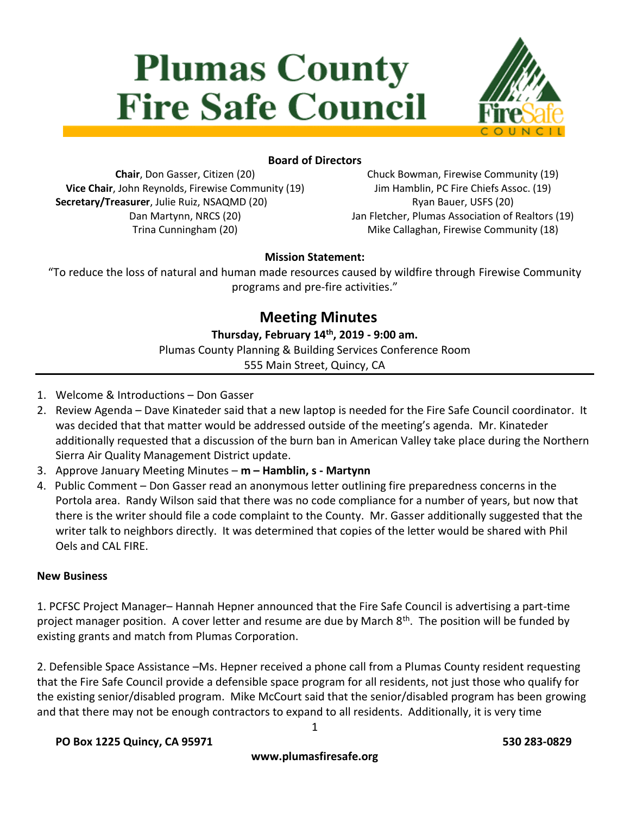# **Plumas County Fire Safe Council**



### **Board of Directors**

**Chair**, Don Gasser, Citizen (20) **Vice Chair**, John Reynolds, Firewise Community (19) **Secretary/Treasurer**, Julie Ruiz, NSAQMD (20) Dan Martynn, NRCS (20) Trina Cunningham (20)

Chuck Bowman, Firewise Community (19) Jim Hamblin, PC Fire Chiefs Assoc. (19) Ryan Bauer, USFS (20) Jan Fletcher, Plumas Association of Realtors (19) Mike Callaghan, Firewise Community (18)

#### **Mission Statement:**

"To reduce the loss of natural and human made resources caused by wildfire through Firewise Community programs and pre-fire activities."

## **Meeting Minutes**

### **Thursday, February 14 th, 2019 - 9:00 am.**

Plumas County Planning & Building Services Conference Room

555 Main Street, Quincy, CA

- 1. Welcome & Introductions Don Gasser
- 2. Review Agenda Dave Kinateder said that a new laptop is needed for the Fire Safe Council coordinator. It was decided that that matter would be addressed outside of the meeting's agenda. Mr. Kinateder additionally requested that a discussion of the burn ban in American Valley take place during the Northern Sierra Air Quality Management District update.
- 3. Approve January Meeting Minutes **m – Hamblin, s - Martynn**
- 4. Public Comment Don Gasser read an anonymous letter outlining fire preparedness concerns in the Portola area. Randy Wilson said that there was no code compliance for a number of years, but now that there is the writer should file a code complaint to the County. Mr. Gasser additionally suggested that the writer talk to neighbors directly. It was determined that copies of the letter would be shared with Phil Oels and CAL FIRE.

#### **New Business**

1. PCFSC Project Manager– Hannah Hepner announced that the Fire Safe Council is advertising a part-time project manager position. A cover letter and resume are due by March 8<sup>th</sup>. The position will be funded by existing grants and match from Plumas Corporation.

2. Defensible Space Assistance –Ms. Hepner received a phone call from a Plumas County resident requesting that the Fire Safe Council provide a defensible space program for all residents, not just those who qualify for the existing senior/disabled program. Mike McCourt said that the senior/disabled program has been growing and that there may not be enough contractors to expand to all residents. Additionally, it is very time

#### **PO Box 1225 Quincy, CA 95971 530 283-0829**

**www.plumasfiresafe.org**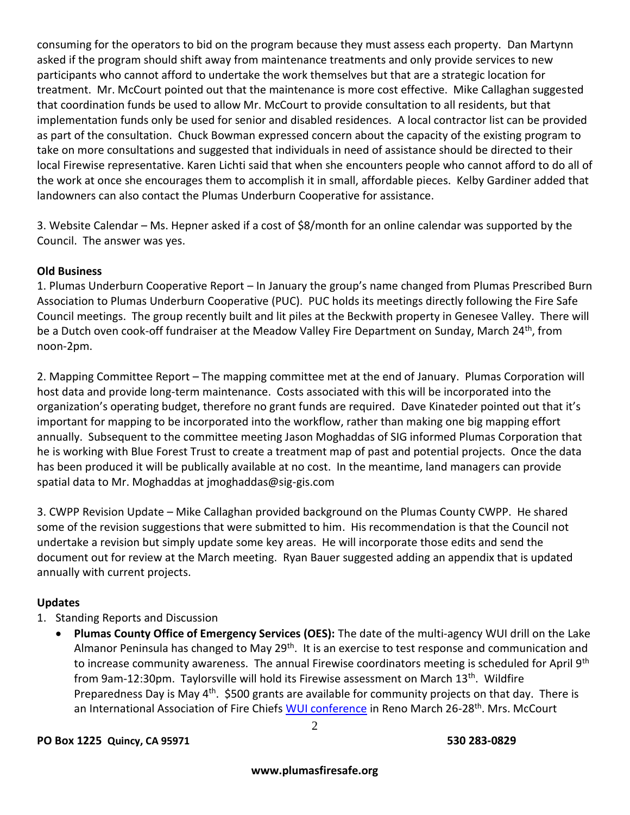consuming for the operators to bid on the program because they must assess each property. Dan Martynn asked if the program should shift away from maintenance treatments and only provide services to new participants who cannot afford to undertake the work themselves but that are a strategic location for treatment. Mr. McCourt pointed out that the maintenance is more cost effective. Mike Callaghan suggested that coordination funds be used to allow Mr. McCourt to provide consultation to all residents, but that implementation funds only be used for senior and disabled residences. A local contractor list can be provided as part of the consultation. Chuck Bowman expressed concern about the capacity of the existing program to take on more consultations and suggested that individuals in need of assistance should be directed to their local Firewise representative. Karen Lichti said that when she encounters people who cannot afford to do all of the work at once she encourages them to accomplish it in small, affordable pieces. Kelby Gardiner added that landowners can also contact the Plumas Underburn Cooperative for assistance.

3. Website Calendar – Ms. Hepner asked if a cost of \$8/month for an online calendar was supported by the Council. The answer was yes.

#### **Old Business**

1. Plumas Underburn Cooperative Report – In January the group's name changed from Plumas Prescribed Burn Association to Plumas Underburn Cooperative (PUC). PUC holds its meetings directly following the Fire Safe Council meetings. The group recently built and lit piles at the Beckwith property in Genesee Valley. There will be a Dutch oven cook-off fundraiser at the Meadow Valley Fire Department on Sunday, March 24<sup>th</sup>, from noon-2pm.

2. Mapping Committee Report – The mapping committee met at the end of January. Plumas Corporation will host data and provide long-term maintenance. Costs associated with this will be incorporated into the organization's operating budget, therefore no grant funds are required. Dave Kinateder pointed out that it's important for mapping to be incorporated into the workflow, rather than making one big mapping effort annually. Subsequent to the committee meeting Jason Moghaddas of SIG informed Plumas Corporation that he is working with Blue Forest Trust to create a treatment map of past and potential projects. Once the data has been produced it will be publically available at no cost. In the meantime, land managers can provide spatial data to Mr. Moghaddas at jmoghaddas@sig-gis.com

3. CWPP Revision Update – Mike Callaghan provided background on the Plumas County CWPP. He shared some of the revision suggestions that were submitted to him. His recommendation is that the Council not undertake a revision but simply update some key areas. He will incorporate those edits and send the document out for review at the March meeting. Ryan Bauer suggested adding an appendix that is updated annually with current projects.

#### **Updates**

- 1. Standing Reports and Discussion
	- **Plumas County Office of Emergency Services (OES):** The date of the multi-agency WUI drill on the Lake Almanor Peninsula has changed to May 29<sup>th</sup>. It is an exercise to test response and communication and to increase community awareness. The annual Firewise coordinators meeting is scheduled for April 9<sup>th</sup> from 9am-12:30pm. Taylorsville will hold its Firewise assessment on March 13<sup>th</sup>. Wildfire Preparedness Day is May 4<sup>th</sup>. \$500 grants are available for community projects on that day. There is an International Association of Fire Chiefs [WUI conference](https://www.iafc.org/events/wui) in Reno March 26-28<sup>th</sup>. Mrs. McCourt

#### **PO Box 1225 Quincy, CA 95971 530 283-0829**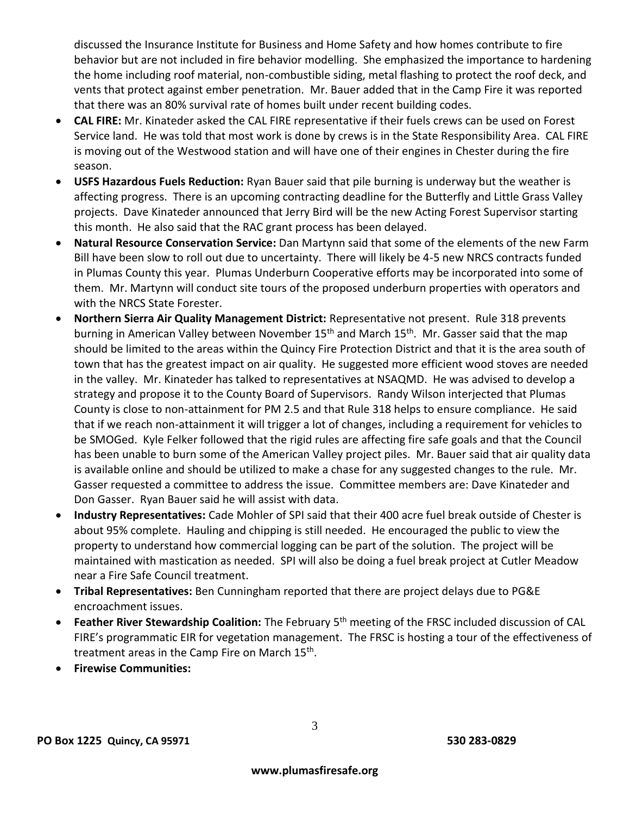discussed the Insurance Institute for Business and Home Safety and how homes contribute to fire behavior but are not included in fire behavior modelling. She emphasized the importance to hardening the home including roof material, non-combustible siding, metal flashing to protect the roof deck, and vents that protect against ember penetration. Mr. Bauer added that in the Camp Fire it was reported that there was an 80% survival rate of homes built under recent building codes.

- **CAL FIRE:** Mr. Kinateder asked the CAL FIRE representative if their fuels crews can be used on Forest Service land. He was told that most work is done by crews is in the State Responsibility Area. CAL FIRE is moving out of the Westwood station and will have one of their engines in Chester during the fire season.
- **USFS Hazardous Fuels Reduction:** Ryan Bauer said that pile burning is underway but the weather is affecting progress. There is an upcoming contracting deadline for the Butterfly and Little Grass Valley projects. Dave Kinateder announced that Jerry Bird will be the new Acting Forest Supervisor starting this month. He also said that the RAC grant process has been delayed.
- **Natural Resource Conservation Service:** Dan Martynn said that some of the elements of the new Farm Bill have been slow to roll out due to uncertainty. There will likely be 4-5 new NRCS contracts funded in Plumas County this year. Plumas Underburn Cooperative efforts may be incorporated into some of them. Mr. Martynn will conduct site tours of the proposed underburn properties with operators and with the NRCS State Forester.
- **Northern Sierra Air Quality Management District:** Representative not present. Rule 318 prevents burning in American Valley between November 15<sup>th</sup> and March 15<sup>th</sup>. Mr. Gasser said that the map should be limited to the areas within the Quincy Fire Protection District and that it is the area south of town that has the greatest impact on air quality. He suggested more efficient wood stoves are needed in the valley. Mr. Kinateder has talked to representatives at NSAQMD. He was advised to develop a strategy and propose it to the County Board of Supervisors. Randy Wilson interjected that Plumas County is close to non-attainment for PM 2.5 and that Rule 318 helps to ensure compliance. He said that if we reach non-attainment it will trigger a lot of changes, including a requirement for vehicles to be SMOGed. Kyle Felker followed that the rigid rules are affecting fire safe goals and that the Council has been unable to burn some of the American Valley project piles. Mr. Bauer said that air quality data is available online and should be utilized to make a chase for any suggested changes to the rule. Mr. Gasser requested a committee to address the issue. Committee members are: Dave Kinateder and Don Gasser. Ryan Bauer said he will assist with data.
- **Industry Representatives:** Cade Mohler of SPI said that their 400 acre fuel break outside of Chester is about 95% complete. Hauling and chipping is still needed. He encouraged the public to view the property to understand how commercial logging can be part of the solution. The project will be maintained with mastication as needed. SPI will also be doing a fuel break project at Cutler Meadow near a Fire Safe Council treatment.
- **Tribal Representatives:** Ben Cunningham reported that there are project delays due to PG&E encroachment issues.
- Feather River Stewardship Coalition: The February 5<sup>th</sup> meeting of the FRSC included discussion of CAL FIRE's programmatic EIR for vegetation management. The FRSC is hosting a tour of the effectiveness of treatment areas in the Camp Fire on March 15<sup>th</sup>.
- **Firewise Communities:**